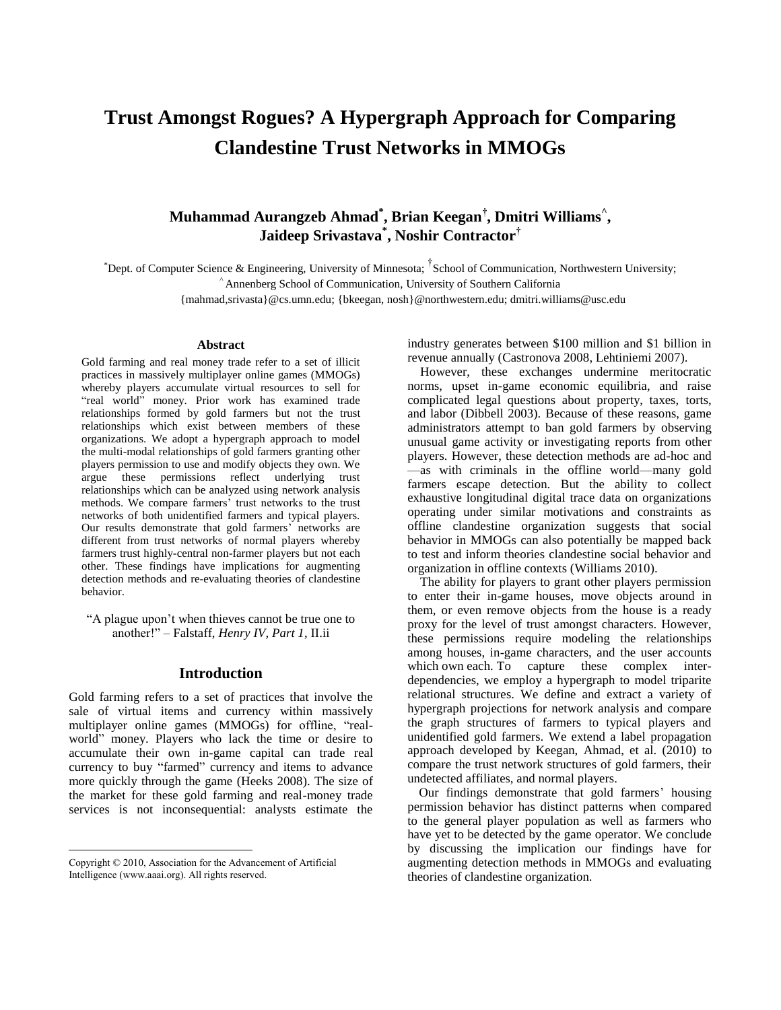# **Trust Amongst Rogues? A Hypergraph Approach for Comparing Clandestine Trust Networks in MMOGs**

# **Muhammad Aurangzeb Ahmad\* , Brian Keegan† , Dmitri Williams^ , Jaideep Srivastava\* , Noshir Contractor†**

\*Dept. of Computer Science & Engineering, University of Minnesota; † School of Communication, Northwestern University; ^ Annenberg School of Communication, University of Southern California

{mahmad,srivasta}@cs.umn.edu; {bkeegan, nosh}@northwestern.edu; dmitri.williams@usc.edu

#### **Abstract**

Gold farming and real money trade refer to a set of illicit practices in massively multiplayer online games (MMOGs) whereby players accumulate virtual resources to sell for "real world" money. Prior work has examined trade relationships formed by gold farmers but not the trust relationships which exist between members of these organizations. We adopt a hypergraph approach to model the multi-modal relationships of gold farmers granting other players permission to use and modify objects they own. We argue these permissions reflect underlying trust relationships which can be analyzed using network analysis methods. We compare farmers' trust networks to the trust networks of both unidentified farmers and typical players. Our results demonstrate that gold farmers' networks are different from trust networks of normal players whereby farmers trust highly-central non-farmer players but not each other. These findings have implications for augmenting detection methods and re-evaluating theories of clandestine behavior.

"A plague upon't when thieves cannot be true one to another!‖ – Falstaff, *Henry IV, Part 1*, II.ii

### **Introduction**

Gold farming refers to a set of practices that involve the sale of virtual items and currency within massively multiplayer online games (MMOGs) for offline, "realworld" money. Players who lack the time or desire to accumulate their own in-game capital can trade real currency to buy "farmed" currency and items to advance more quickly through the game (Heeks 2008). The size of the market for these gold farming and real-money trade services is not inconsequential: analysts estimate the

 $\overline{a}$ 

industry generates between \$100 million and \$1 billion in revenue annually (Castronova 2008, Lehtiniemi 2007).

However, these exchanges undermine meritocratic norms, upset in-game economic equilibria, and raise complicated legal questions about property, taxes, torts, and labor (Dibbell 2003). Because of these reasons, game administrators attempt to ban gold farmers by observing unusual game activity or investigating reports from other players. However, these detection methods are ad-hoc and —as with criminals in the offline world—many gold farmers escape detection. But the ability to collect exhaustive longitudinal digital trace data on organizations operating under similar motivations and constraints as offline clandestine organization suggests that social behavior in MMOGs can also potentially be mapped back to test and inform theories clandestine social behavior and organization in offline contexts (Williams 2010).

The ability for players to grant other players permission to enter their in-game houses, move objects around in them, or even remove objects from the house is a ready proxy for the level of trust amongst characters. However, these permissions require modeling the relationships among houses, in-game characters, and the user accounts which own each. To capture these complex interdependencies, we employ a hypergraph to model triparite relational structures. We define and extract a variety of hypergraph projections for network analysis and compare the graph structures of farmers to typical players and unidentified gold farmers. We extend a label propagation approach developed by Keegan, Ahmad, et al. (2010) to compare the trust network structures of gold farmers, their undetected affiliates, and normal players.

Our findings demonstrate that gold farmers' housing permission behavior has distinct patterns when compared to the general player population as well as farmers who have yet to be detected by the game operator. We conclude by discussing the implication our findings have for augmenting detection methods in MMOGs and evaluating theories of clandestine organization.

Copyright © 2010, Association for the Advancement of Artificial Intelligence (www.aaai.org). All rights reserved.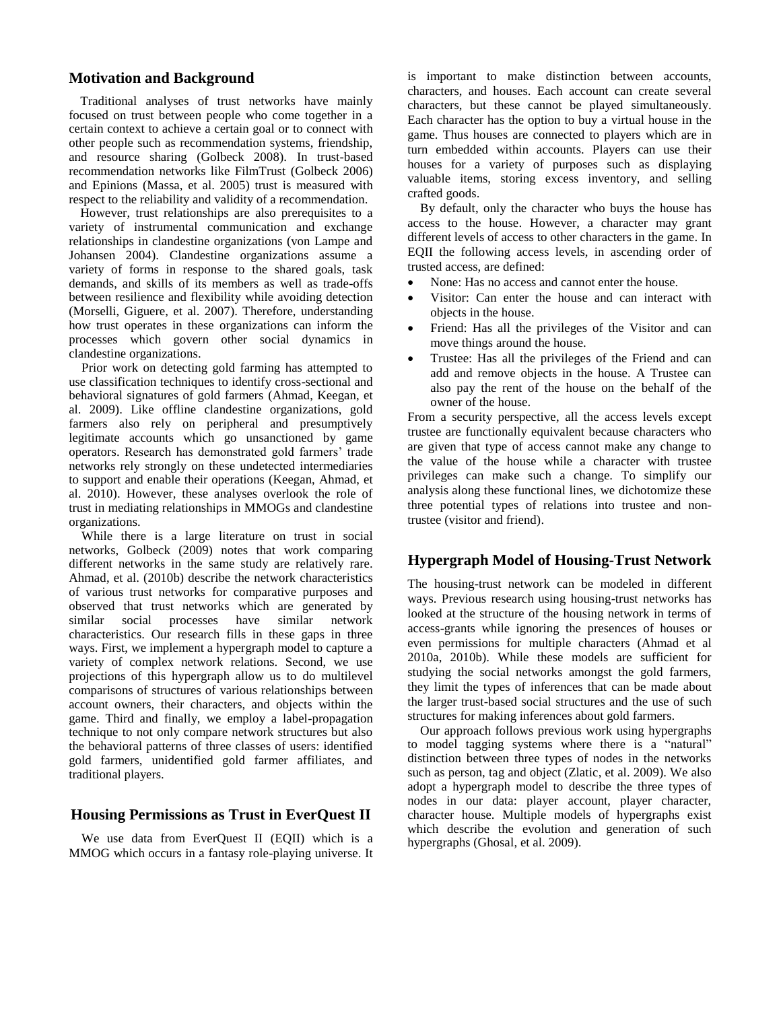# **Motivation and Background**

Traditional analyses of trust networks have mainly focused on trust between people who come together in a certain context to achieve a certain goal or to connect with other people such as recommendation systems, friendship, and resource sharing (Golbeck 2008). In trust-based recommendation networks like FilmTrust (Golbeck 2006) and Epinions (Massa, et al. 2005) trust is measured with respect to the reliability and validity of a recommendation.

However, trust relationships are also prerequisites to a variety of instrumental communication and exchange relationships in clandestine organizations (von Lampe and Johansen 2004). Clandestine organizations assume a variety of forms in response to the shared goals, task demands, and skills of its members as well as trade-offs between resilience and flexibility while avoiding detection (Morselli, Giguere, et al. 2007). Therefore, understanding how trust operates in these organizations can inform the processes which govern other social dynamics in clandestine organizations.

Prior work on detecting gold farming has attempted to use classification techniques to identify cross-sectional and behavioral signatures of gold farmers (Ahmad, Keegan, et al. 2009). Like offline clandestine organizations, gold farmers also rely on peripheral and presumptively legitimate accounts which go unsanctioned by game operators. Research has demonstrated gold farmers' trade networks rely strongly on these undetected intermediaries to support and enable their operations (Keegan, Ahmad, et al. 2010). However, these analyses overlook the role of trust in mediating relationships in MMOGs and clandestine organizations.

While there is a large literature on trust in social networks, Golbeck (2009) notes that work comparing different networks in the same study are relatively rare. Ahmad, et al. (2010b) describe the network characteristics of various trust networks for comparative purposes and observed that trust networks which are generated by similar social processes have similar network characteristics. Our research fills in these gaps in three ways. First, we implement a hypergraph model to capture a variety of complex network relations. Second, we use projections of this hypergraph allow us to do multilevel comparisons of structures of various relationships between account owners, their characters, and objects within the game. Third and finally, we employ a label-propagation technique to not only compare network structures but also the behavioral patterns of three classes of users: identified gold farmers, unidentified gold farmer affiliates, and traditional players.

## **Housing Permissions as Trust in EverQuest II**

We use data from EverQuest II (EQII) which is a MMOG which occurs in a fantasy role-playing universe. It is important to make distinction between accounts, characters, and houses. Each account can create several characters, but these cannot be played simultaneously. Each character has the option to buy a virtual house in the game. Thus houses are connected to players which are in turn embedded within accounts. Players can use their houses for a variety of purposes such as displaying valuable items, storing excess inventory, and selling crafted goods.

By default, only the character who buys the house has access to the house. However, a character may grant different levels of access to other characters in the game. In EQII the following access levels, in ascending order of trusted access, are defined:

- None: Has no access and cannot enter the house.
- Visitor: Can enter the house and can interact with objects in the house.
- Friend: Has all the privileges of the Visitor and can move things around the house.
- Trustee: Has all the privileges of the Friend and can add and remove objects in the house. A Trustee can also pay the rent of the house on the behalf of the owner of the house.

From a security perspective, all the access levels except trustee are functionally equivalent because characters who are given that type of access cannot make any change to the value of the house while a character with trustee privileges can make such a change. To simplify our analysis along these functional lines, we dichotomize these three potential types of relations into trustee and nontrustee (visitor and friend).

# **Hypergraph Model of Housing-Trust Network**

The housing-trust network can be modeled in different ways. Previous research using housing-trust networks has looked at the structure of the housing network in terms of access-grants while ignoring the presences of houses or even permissions for multiple characters (Ahmad et al 2010a, 2010b). While these models are sufficient for studying the social networks amongst the gold farmers, they limit the types of inferences that can be made about the larger trust-based social structures and the use of such structures for making inferences about gold farmers.

Our approach follows previous work using hypergraphs to model tagging systems where there is a "natural" distinction between three types of nodes in the networks such as person, tag and object (Zlatic, et al. 2009). We also adopt a hypergraph model to describe the three types of nodes in our data: player account, player character, character house. Multiple models of hypergraphs exist which describe the evolution and generation of such hypergraphs (Ghosal, et al. 2009).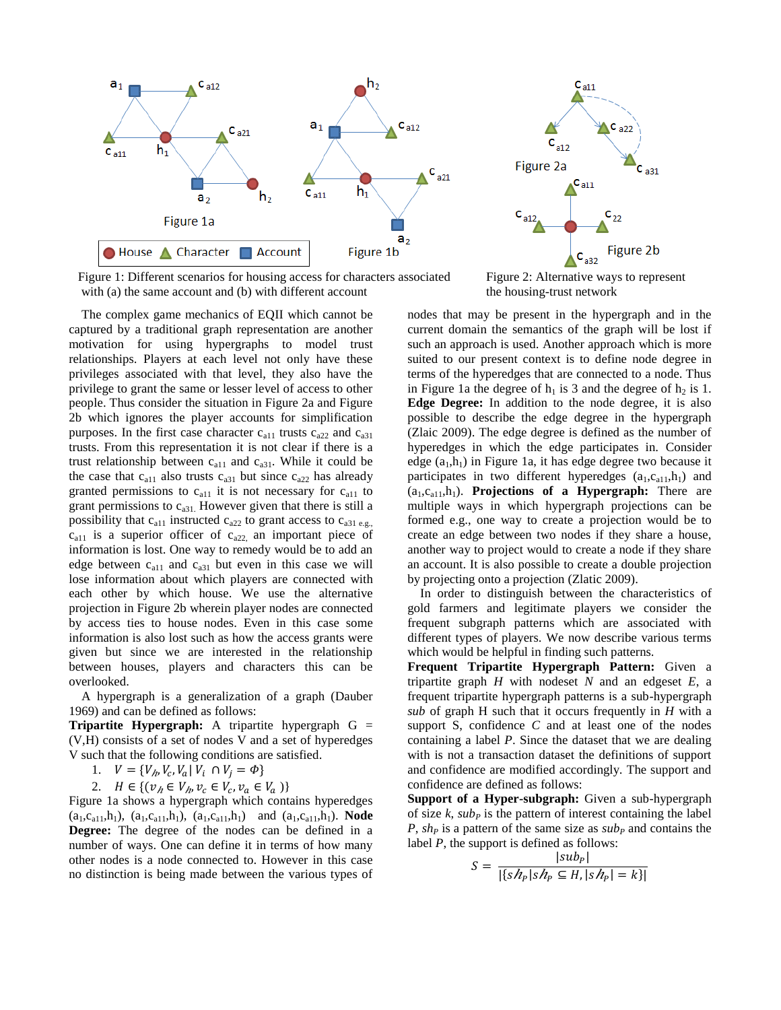

 $C<sub>a11</sub>$  $\mathsf{c}_{\mathsf{a22}}$  $c_{a12}$ Figure 2a  $a31$ C  $_{\rm a11}$  $c_{a12}$ Figure 2b  $c_{\text{a}32}$ 

Figure 1: Different scenarios for housing access for characters associated Figure 2: Alternative ways to represent with (a) the same account and (b) with different account the housing-trust network

The complex game mechanics of EQII which cannot be example to the complete gaing incommence of Equilibration are another captured by a traditional graph representation are another motivation for using hypergraphs to model trust relationships. Players at each level not only have these privileges associated with that level, they also have the privilege to grant the same or lesser level of access to other people. Thus consider the situation in Figure 2a and Figure 2b which ignores the player accounts for simplification purposes. In the first case character  $c_{a11}$  trusts  $c_{a22}$  and  $c_{a31}$ trusts. From this representation it is not clear if there is a trust relationship between  $c_{a11}$  and  $c_{a31}$ . While it could be the case that  $c_{a11}$  also trusts  $c_{a31}$  but since  $c_{a22}$  has already granted permissions to  $c_{a11}$  it is not necessary for  $c_{a11}$  to grant permissions to  $c_{a31}$ . However given that there is still a possibility that  $c_{a11}$  instructed  $c_{a22}$  to grant access to  $c_{a31}$  e.g.,  $c_{a11}$  is a superior officer of  $c_{a22}$  an important piece of information is lost. One way to remedy would be to add an edge between  $c_{a11}$  and  $c_{a31}$  but even in this case we will lose information about which players are connected with each other by which house. We use the alternative projection in Figure 2b wherein player nodes are connected by access ties to house nodes. Even in this case some information is also lost such as how the access grants were given but since we are interested in the relationship between houses, players and characters this can be overlooked.

A hypergraph is a generalization of a graph (Dauber 1969) and can be defined as follows:

**Tripartite Hypergraph:** A tripartite hypergraph G = (V,H) consists of a set of nodes V and a set of hyperedges V such that the following conditions are satisfied.

1.  $V = \{V_h, V_c, V_a\}$ 

2.  $H \in \{ (v_h \in V_h, v_c \in V_c, v_a \in V_a) \}$ 

Figure 1a shows a hypergraph which contains hyperedges  $(a_1, c_{a11}, h_1), (a_1, c_{a11}, h_1), (a_1, c_{a11}, h_1)$  and  $(a_1, c_{a11}, h_1)$ . **Node Degree:** The degree of the nodes can be defined in a number of ways. One can define it in terms of how many other nodes is a node connected to. However in this case no distinction is being made between the various types of

nodes that may be present in the hypergraph and in the current domain the semantics of the graph will be lost if such an approach is used. Another approach which is more suited to our present context is to define node degree in terms of the hyperedges that are connected to a node. Thus in Figure 1a the degree of  $h_1$  is 3 and the degree of  $h_2$  is 1. **Edge Degree:** In addition to the node degree, it is also possible to describe the edge degree in the hypergraph (Zlaic 2009). The edge degree is defined as the number of hyperedges in which the edge participates in. Consider edge  $(a_1,h_1)$  in Figure 1a, it has edge degree two because it participates in two different hyperedges  $(a_1, c_{a11}, h_1)$  and  $(a_1, c_{a11}, h_1)$ . **Projections of a Hypergraph:** There are multiple ways in which hypergraph projections can be formed e.g., one way to create a projection would be to create an edge between two nodes if they share a house, another way to project would to create a node if they share an account. It is also possible to create a double projection by projecting onto a projection (Zlatic 2009).

In order to distinguish between the characteristics of gold farmers and legitimate players we consider the frequent subgraph patterns which are associated with different types of players. We now describe various terms which would be helpful in finding such patterns.

**Frequent Tripartite Hypergraph Pattern:** Given a tripartite graph *H* with nodeset *N* and an edgeset *E*, a frequent tripartite hypergraph patterns is a sub-hypergraph *sub* of graph H such that it occurs frequently in *H* with a support S, confidence *C* and at least one of the nodes containing a label *P*. Since the dataset that we are dealing with is not a transaction dataset the definitions of support and confidence are modified accordingly. The support and confidence are defined as follows:

**Support of a Hyper-subgraph:** Given a sub-hypergraph of size  $k$ ,  $sub<sub>P</sub>$  is the pattern of interest containing the label *P*,  $sh<sub>P</sub>$  is a pattern of the same size as  $sub<sub>P</sub>$  and contains the label *P*, the support is defined as follows:  $l$  culp  $l$ 

$$
S = \frac{|sum_P|}{|\{s h_P | s h_P \subseteq H, |s h_P| = k\}|}
$$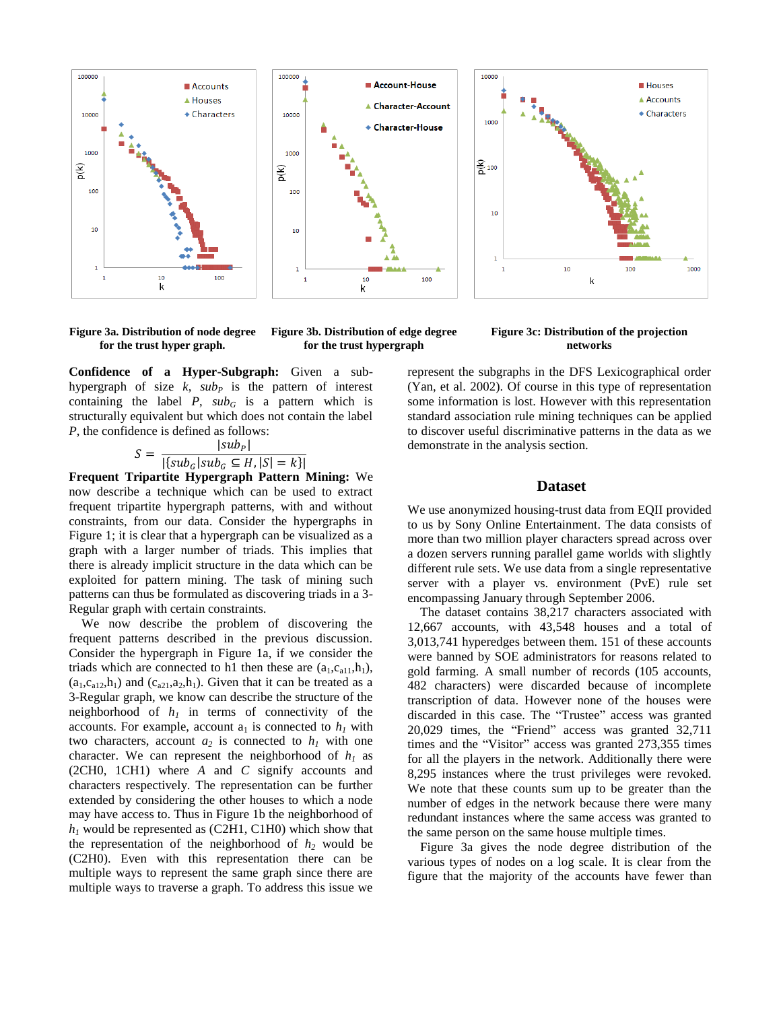

**Figure 3a. Distribution of node degree for the trust hyper graph.** 

**Figure 3b. Distribution of edge degree for the trust hypergraph**

**Figure 3c: Distribution of the projection networks**

**Confidence of a Hyper-Subgraph:** Given a subhypergraph of size  $k$ ,  $sub<sub>P</sub>$  is the pattern of interest containing the label  $P$ ,  $sub<sub>G</sub>$  is a pattern which is structurally equivalent but which does not contain the label *P*, the confidence is defined as follows:

$$
S = \frac{|sub_P|}{|\{sub_G|sub_G \subseteq H, |S| = k\}|}
$$

**Frequent Tripartite Hypergraph Pattern Mining:** We now describe a technique which can be used to extract frequent tripartite hypergraph patterns, with and without constraints, from our data. Consider the hypergraphs in Figure 1; it is clear that a hypergraph can be visualized as a graph with a larger number of triads. This implies that there is already implicit structure in the data which can be exploited for pattern mining. The task of mining such patterns can thus be formulated as discovering triads in a 3- Regular graph with certain constraints.

We now describe the problem of discovering the frequent patterns described in the previous discussion. Consider the hypergraph in Figure 1a, if we consider the triads which are connected to h1 then these are  $(a_1, c_{a11}, h_1)$ ,  $(a_1, c_{a12}, h_1)$  and  $(c_{a21}, a_2, h_1)$ . Given that it can be treated as a 3-Regular graph, we know can describe the structure of the neighborhood of  $h_1$  in terms of connectivity of the accounts. For example, account  $a_1$  is connected to  $h_1$  with two characters, account  $a_2$  is connected to  $h_1$  with one character. We can represent the neighborhood of  $h_1$  as (2CH0, 1CH1) where *A* and *C* signify accounts and characters respectively. The representation can be further extended by considering the other houses to which a node may have access to. Thus in Figure 1b the neighborhood of *h<sup>1</sup>* would be represented as (C2H1, C1H0) which show that the representation of the neighborhood of  $h_2$  would be (C2H0). Even with this representation there can be multiple ways to represent the same graph since there are multiple ways to traverse a graph. To address this issue we

represent the subgraphs in the DFS Lexicographical order (Yan, et al. 2002). Of course in this type of representation some information is lost. However with this representation standard association rule mining techniques can be applied to discover useful discriminative patterns in the data as we demonstrate in the analysis section.

#### **Dataset**

We use anonymized housing-trust data from EQII provided to us by Sony Online Entertainment. The data consists of more than two million player characters spread across over a dozen servers running parallel game worlds with slightly different rule sets. We use data from a single representative server with a player vs. environment (PvE) rule set encompassing January through September 2006.

The dataset contains 38,217 characters associated with 12,667 accounts, with 43,548 houses and a total of 3,013,741 hyperedges between them. 151 of these accounts were banned by SOE administrators for reasons related to gold farming. A small number of records (105 accounts, 482 characters) were discarded because of incomplete transcription of data. However none of the houses were discarded in this case. The "Trustee" access was granted 20,029 times, the "Friend" access was granted 32,711 times and the "Visitor" access was granted 273,355 times for all the players in the network. Additionally there were 8,295 instances where the trust privileges were revoked. We note that these counts sum up to be greater than the number of edges in the network because there were many redundant instances where the same access was granted to the same person on the same house multiple times.

Figure 3a gives the node degree distribution of the various types of nodes on a log scale. It is clear from the figure that the majority of the accounts have fewer than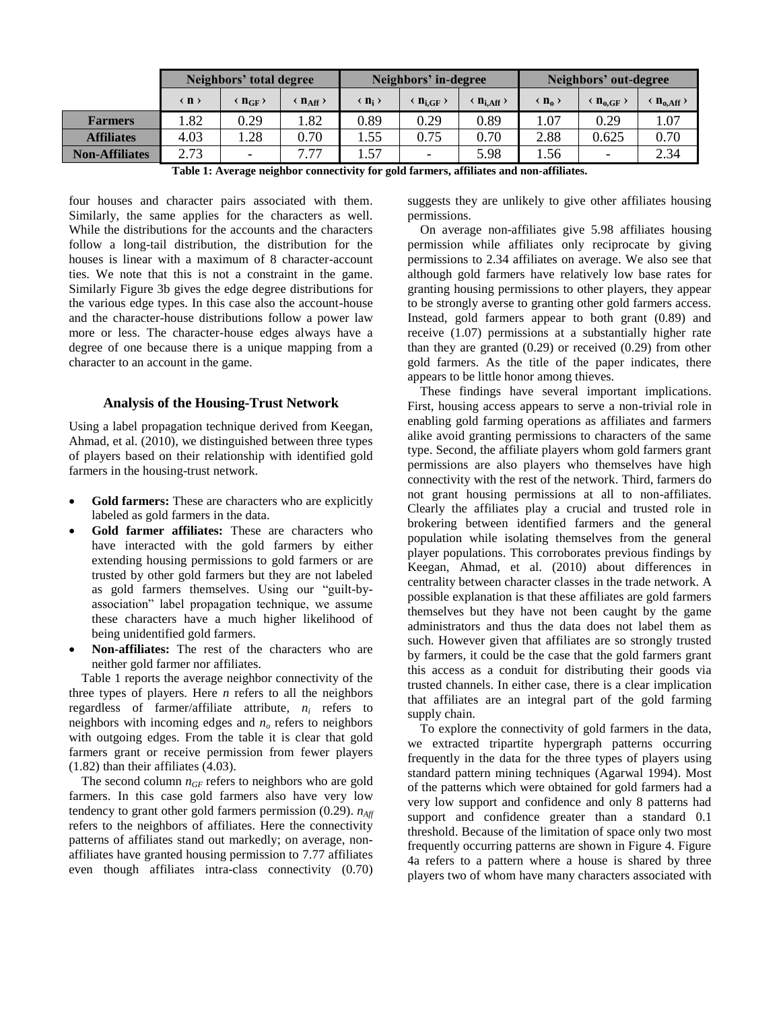|                       | Neighbors' total degree |                              |                                  | Neighbors' in-degree  |                          |                            | Neighbors' out-degree            |                                   |                                             |
|-----------------------|-------------------------|------------------------------|----------------------------------|-----------------------|--------------------------|----------------------------|----------------------------------|-----------------------------------|---------------------------------------------|
|                       | (n)                     | $\langle \, {\bf l} \rangle$ | $\langle n_{\text{Aff}} \rangle$ | $\langle n_i \rangle$ | $\mathbf{n}_{i,GF}$ )    | $\langle n_{i,Aff}\rangle$ | $\langle \mathbf{n}_{0} \rangle$ | $\langle n_{0,\text{GF}} \rangle$ | $\langle \mathbf{n}_{\text{o-Aff}} \rangle$ |
| <b>Farmers</b>        | .82                     | 0.29                         | .82                              | 0.89                  | 0.29                     | 0.89                       | 07                               | 0.29                              | 1.07                                        |
| <b>Affiliates</b>     | 4.03                    | .28                          | 0.70                             | 1.55                  | 0.75                     | 0.70                       | 2.88                             | 0.625                             | 0.70                                        |
| <b>Non-Affiliates</b> | 2.73                    | $\overline{\phantom{a}}$     | 7.77                             | .57                   | $\overline{\phantom{0}}$ | 5.98                       | . . 56                           | $\overline{\phantom{0}}$          | 2.34                                        |

**Table 1: Average neighbor connectivity for gold farmers, affiliates and non-affiliates.**

four houses and character pairs associated with them. Similarly, the same applies for the characters as well. While the distributions for the accounts and the characters follow a long-tail distribution, the distribution for the houses is linear with a maximum of 8 character-account ties. We note that this is not a constraint in the game. Similarly Figure 3b gives the edge degree distributions for the various edge types. In this case also the account-house and the character-house distributions follow a power law more or less. The character-house edges always have a degree of one because there is a unique mapping from a character to an account in the game.

#### **Analysis of the Housing-Trust Network**

Using a label propagation technique derived from Keegan, Ahmad, et al. (2010), we distinguished between three types of players based on their relationship with identified gold farmers in the housing-trust network.

- **Gold farmers:** These are characters who are explicitly labeled as gold farmers in the data.
- **Gold farmer affiliates:** These are characters who have interacted with the gold farmers by either extending housing permissions to gold farmers or are trusted by other gold farmers but they are not labeled as gold farmers themselves. Using our "guilt-byassociation" label propagation technique, we assume these characters have a much higher likelihood of being unidentified gold farmers.
- **Non-affiliates:** The rest of the characters who are neither gold farmer nor affiliates.

Table 1 reports the average neighbor connectivity of the three types of players. Here *n* refers to all the neighbors regardless of farmer/affiliate attribute, *n<sup>i</sup>* refers to neighbors with incoming edges and *n<sup>o</sup>* refers to neighbors with outgoing edges. From the table it is clear that gold farmers grant or receive permission from fewer players (1.82) than their affiliates (4.03).

The second column  $n_{GF}$  refers to neighbors who are gold farmers. In this case gold farmers also have very low tendency to grant other gold farmers permission  $(0.29)$ .  $n_{\text{Aff}}$ refers to the neighbors of affiliates. Here the connectivity patterns of affiliates stand out markedly; on average, nonaffiliates have granted housing permission to 7.77 affiliates even though affiliates intra-class connectivity (0.70)

suggests they are unlikely to give other affiliates housing permissions.

On average non-affiliates give 5.98 affiliates housing permission while affiliates only reciprocate by giving permissions to 2.34 affiliates on average. We also see that although gold farmers have relatively low base rates for granting housing permissions to other players, they appear to be strongly averse to granting other gold farmers access. Instead, gold farmers appear to both grant (0.89) and receive (1.07) permissions at a substantially higher rate than they are granted (0.29) or received (0.29) from other gold farmers. As the title of the paper indicates, there appears to be little honor among thieves.

These findings have several important implications. First, housing access appears to serve a non-trivial role in enabling gold farming operations as affiliates and farmers alike avoid granting permissions to characters of the same type. Second, the affiliate players whom gold farmers grant permissions are also players who themselves have high connectivity with the rest of the network. Third, farmers do not grant housing permissions at all to non-affiliates. Clearly the affiliates play a crucial and trusted role in brokering between identified farmers and the general population while isolating themselves from the general player populations. This corroborates previous findings by Keegan, Ahmad, et al. (2010) about differences in centrality between character classes in the trade network. A possible explanation is that these affiliates are gold farmers themselves but they have not been caught by the game administrators and thus the data does not label them as such. However given that affiliates are so strongly trusted by farmers, it could be the case that the gold farmers grant this access as a conduit for distributing their goods via trusted channels. In either case, there is a clear implication that affiliates are an integral part of the gold farming supply chain.

To explore the connectivity of gold farmers in the data, we extracted tripartite hypergraph patterns occurring frequently in the data for the three types of players using standard pattern mining techniques (Agarwal 1994). Most of the patterns which were obtained for gold farmers had a very low support and confidence and only 8 patterns had support and confidence greater than a standard 0.1 threshold. Because of the limitation of space only two most frequently occurring patterns are shown in Figure 4. Figure 4a refers to a pattern where a house is shared by three players two of whom have many characters associated with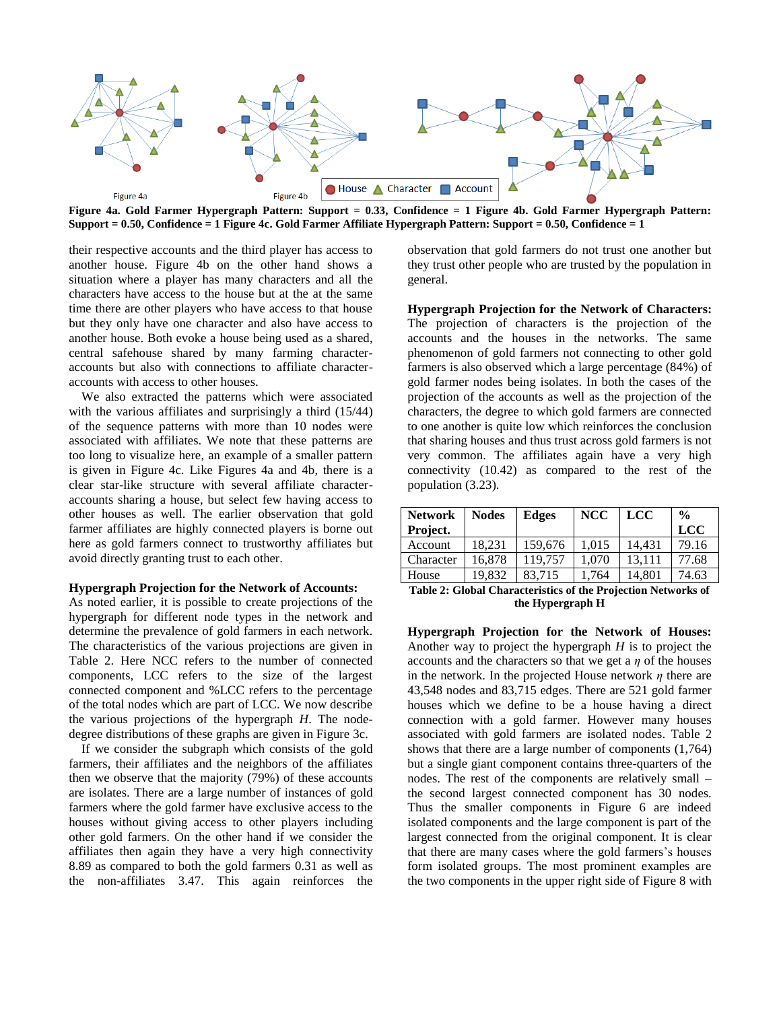

**Figure 4a. Gold Farmer Hypergraph Pattern: Support = 0.33, Confidence = 1 Figure 4b. Gold Farmer Hypergraph Pattern: Support = 0.50, Confidence = 1 Figure 4c. Gold Farmer Affiliate Hypergraph Pattern: Support = 0.50, Confidence = 1**

their respective accounts and the third player has access to another house. Figure 4b on the other hand shows a situation where a player has many characters and all the characters have access to the house but at the at the same time there are other players who have access to that house but they only have one character and also have access to another house. Both evoke a house being used as a shared, central safehouse shared by many farming characteraccounts but also with connections to affiliate characteraccounts with access to other houses.

We also extracted the patterns which were associated with the various affiliates and surprisingly a third (15/44) of the sequence patterns with more than 10 nodes were associated with affiliates. We note that these patterns are too long to visualize here, an example of a smaller pattern is given in Figure 4c. Like Figures 4a and 4b, there is a clear star-like structure with several affiliate characteraccounts sharing a house, but select few having access to other houses as well. The earlier observation that gold farmer affiliates are highly connected players is borne out here as gold farmers connect to trustworthy affiliates but avoid directly granting trust to each other.

#### **Hypergraph Projection for the Network of Accounts:**

As noted earlier, it is possible to create projections of the hypergraph for different node types in the network and determine the prevalence of gold farmers in each network. The characteristics of the various projections are given in Table 2. Here NCC refers to the number of connected components, LCC refers to the size of the largest connected component and %LCC refers to the percentage of the total nodes which are part of LCC. We now describe the various projections of the hypergraph *H*. The nodedegree distributions of these graphs are given in Figure 3c.

If we consider the subgraph which consists of the gold farmers, their affiliates and the neighbors of the affiliates then we observe that the majority (79%) of these accounts are isolates. There are a large number of instances of gold farmers where the gold farmer have exclusive access to the houses without giving access to other players including other gold farmers. On the other hand if we consider the affiliates then again they have a very high connectivity 8.89 as compared to both the gold farmers 0.31 as well as the non-affiliates 3.47. This again reinforces the

observation that gold farmers do not trust one another but they trust other people who are trusted by the population in general.

**Hypergraph Projection for the Network of Characters:** The projection of characters is the projection of the accounts and the houses in the networks. The same phenomenon of gold farmers not connecting to other gold farmers is also observed which a large percentage (84%) of gold farmer nodes being isolates. In both the cases of the projection of the accounts as well as the projection of the characters, the degree to which gold farmers are connected to one another is quite low which reinforces the conclusion that sharing houses and thus trust across gold farmers is not very common. The affiliates again have a very high connectivity (10.42) as compared to the rest of the population (3.23).

| <b>Network</b> | <b>Nodes</b> | <b>Edges</b> | <b>NCC</b> | <b>LCC</b> | $\frac{0}{0}$ |
|----------------|--------------|--------------|------------|------------|---------------|
| Project.       |              |              |            |            | <b>LCC</b>    |
| Account        | 18.231       | 159.676      | 1.015      | 14.431     | 79.16         |
| Character      | 16,878       | 119.757      | 1.070      | 13.111     | 77.68         |
| House          | 19.832       | 83.715       | 1.764      | 14.801     | 74.63         |

**Table 2: Global Characteristics of the Projection Networks of the Hypergraph H**

**Hypergraph Projection for the Network of Houses:**  Another way to project the hypergraph *H* is to project the accounts and the characters so that we get a *η* of the houses in the network. In the projected House network *η* there are 43,548 nodes and 83,715 edges. There are 521 gold farmer houses which we define to be a house having a direct connection with a gold farmer. However many houses associated with gold farmers are isolated nodes. Table 2 shows that there are a large number of components (1,764) but a single giant component contains three-quarters of the nodes. The rest of the components are relatively small – the second largest connected component has 30 nodes. Thus the smaller components in Figure 6 are indeed isolated components and the large component is part of the largest connected from the original component. It is clear that there are many cases where the gold farmers's houses form isolated groups. The most prominent examples are the two components in the upper right side of Figure 8 with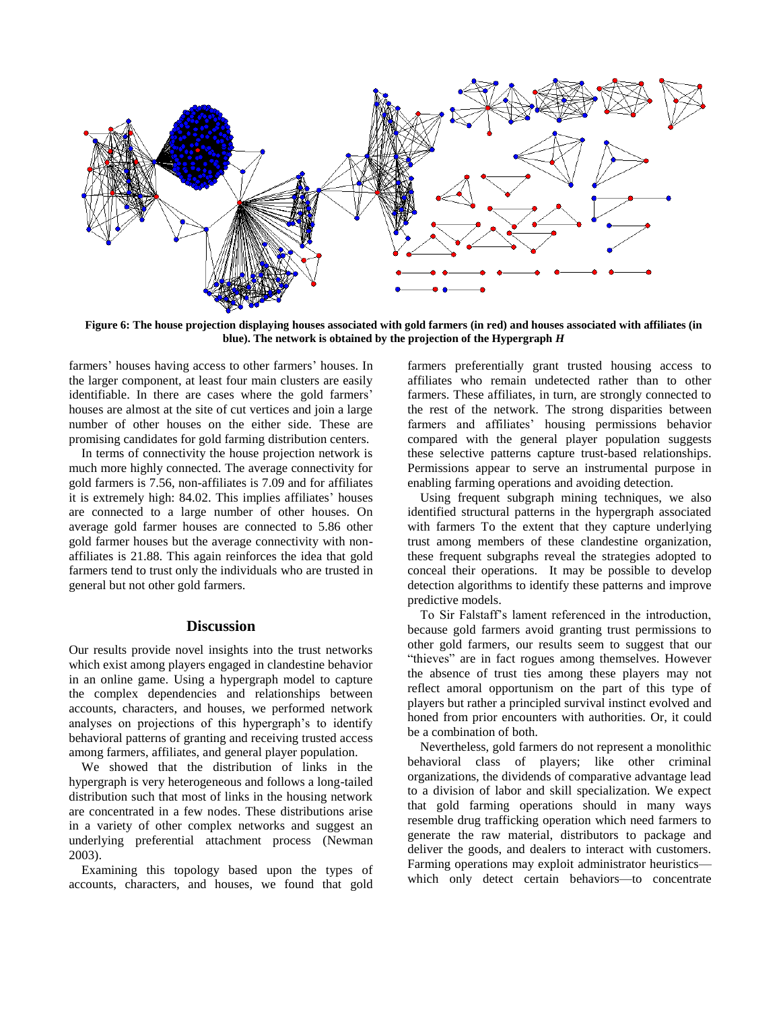

**Figure 6: The house projection displaying houses associated with gold farmers (in red) and houses associated with affiliates (in blue). The network is obtained by the projection of the Hypergraph** *H*

farmers' houses having access to other farmers' houses. In the larger component, at least four main clusters are easily identifiable. In there are cases where the gold farmers' houses are almost at the site of cut vertices and join a large number of other houses on the either side. These are promising candidates for gold farming distribution centers.

In terms of connectivity the house projection network is much more highly connected. The average connectivity for gold farmers is 7.56, non-affiliates is 7.09 and for affiliates it is extremely high: 84.02. This implies affiliates' houses are connected to a large number of other houses. On average gold farmer houses are connected to 5.86 other gold farmer houses but the average connectivity with nonaffiliates is 21.88. This again reinforces the idea that gold farmers tend to trust only the individuals who are trusted in general but not other gold farmers.

#### **Discussion**

Our results provide novel insights into the trust networks which exist among players engaged in clandestine behavior in an online game. Using a hypergraph model to capture the complex dependencies and relationships between accounts, characters, and houses, we performed network analyses on projections of this hypergraph's to identify behavioral patterns of granting and receiving trusted access among farmers, affiliates, and general player population.

We showed that the distribution of links in the hypergraph is very heterogeneous and follows a long-tailed distribution such that most of links in the housing network are concentrated in a few nodes. These distributions arise in a variety of other complex networks and suggest an underlying preferential attachment process (Newman 2003).

Examining this topology based upon the types of accounts, characters, and houses, we found that gold

farmers preferentially grant trusted housing access to affiliates who remain undetected rather than to other farmers. These affiliates, in turn, are strongly connected to the rest of the network. The strong disparities between farmers and affiliates' housing permissions behavior compared with the general player population suggests these selective patterns capture trust-based relationships. Permissions appear to serve an instrumental purpose in enabling farming operations and avoiding detection.

Using frequent subgraph mining techniques, we also identified structural patterns in the hypergraph associated with farmers To the extent that they capture underlying trust among members of these clandestine organization, these frequent subgraphs reveal the strategies adopted to conceal their operations. It may be possible to develop detection algorithms to identify these patterns and improve predictive models.

To Sir Falstaff's lament referenced in the introduction, because gold farmers avoid granting trust permissions to other gold farmers, our results seem to suggest that our "thieves" are in fact rogues among themselves. However the absence of trust ties among these players may not reflect amoral opportunism on the part of this type of players but rather a principled survival instinct evolved and honed from prior encounters with authorities. Or, it could be a combination of both.

Nevertheless, gold farmers do not represent a monolithic behavioral class of players; like other criminal organizations, the dividends of comparative advantage lead to a division of labor and skill specialization. We expect that gold farming operations should in many ways resemble drug trafficking operation which need farmers to generate the raw material, distributors to package and deliver the goods, and dealers to interact with customers. Farming operations may exploit administrator heuristics which only detect certain behaviors—to concentrate